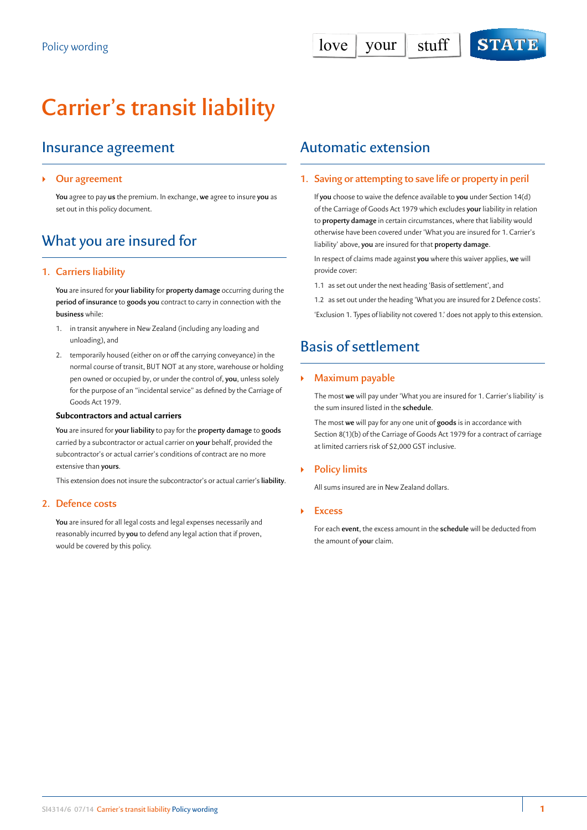# **Carrier's transit liability**

### Insurance agreement

#### ` **Our agreement**

**You** agree to pay **us** the premium. In exchange, **we** agree to insure **you** as set out in this policy document.

# What you are insured for

#### **1. Carriers liability**

**You** are insured for **your liability** for **property damage** occurring during the **period of insurance** to **goods you** contract to carry in connection with the **business** while:

- 1. in transit anywhere in New Zealand (including any loading and unloading), and
- 2. temporarily housed (either on or off the carrying conveyance) in the normal course of transit, BUT NOT at any store, warehouse or holding pen owned or occupied by, or under the control of, **you**, unless solely for the purpose of an "incidental service" as defined by the Carriage of Goods Act 1979.

#### **Subcontractors and actual carriers**

**You** are insured for **your liability** to pay for the **property damage** to **goods** carried by a subcontractor or actual carrier on **your** behalf, provided the subcontractor's or actual carrier's conditions of contract are no more extensive than **yours**.

This extension does not insure the subcontractor's or actual carrier's **liability**.

#### **2. Defence costs**

**You** are insured for all legal costs and legal expenses necessarily and reasonably incurred by **you** to defend any legal action that if proven, would be covered by this policy.

### Automatic extension

#### **1. Saving or attempting to save life or property in peril**

If **you** choose to waive the defence available to **you** under Section 14(d) of the Carriage of Goods Act 1979 which excludes **your** liability in relation to **property damage** in certain circumstances, where that liability would otherwise have been covered under 'What you are insured for 1. Carrier's liability' above, **you** are insured for that **property damage**.

In respect of claims made against **you** where this waiver applies, **we** will provide cover:

- 1.1 as set out under the next heading 'Basis of settlement', and
- 1.2 as set out under the heading 'What you are insured for 2 Defence costs'.

'Exclusion 1. Types of liability not covered 1.' does not apply to this extension.

## Basis of settlement

#### ` **Maximum payable**

The most **we** will pay under 'What you are insured for 1. Carrier's liability' is the sum insured listed in the **schedule**.

The most **we** will pay for any one unit of **goods** is in accordance with Section 8(1)(b) of the Carriage of Goods Act 1979 for a contract of carriage at limited carriers risk of \$2,000 GST inclusive.

#### ` **Policy limits**

All sums insured are in New Zealand dollars.

` **Excess**

For each **event**, the excess amount in the **schedule** will be deducted from the amount of **you**r claim.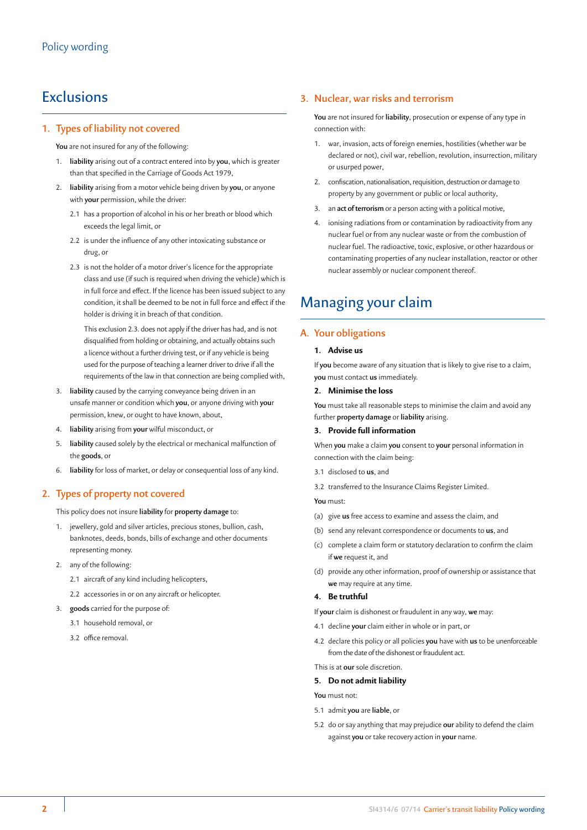### **Exclusions**

#### **1. Types of liability not covered**

**You** are not insured for any of the following:

- 1. **liability** arising out of a contract entered into by **you**, which is greater than that specified in the Carriage of Goods Act 1979,
- 2. **liability** arising from a motor vehicle being driven by **you**, or anyone with **your** permission, while the driver:
	- 2.1 has a proportion of alcohol in his or her breath or blood which exceeds the legal limit, or
	- 2.2 is under the influence of any other intoxicating substance or drug, or
	- 2.3 is not the holder of a motor driver's licence for the appropriate class and use (if such is required when driving the vehicle) which is in full force and effect. If the licence has been issued subject to any condition, it shall be deemed to be not in full force and effect if the holder is driving it in breach of that condition.

This exclusion 2.3. does not apply if the driver has had, and is not disqualified from holding or obtaining, and actually obtains such a licence without a further driving test, or if any vehicle is being used for the purpose of teaching a learner driver to drive if all the requirements of the law in that connection are being complied with,

- 3. **liability** caused by the carrying conveyance being driven in an unsafe manner or condition which **you**, or anyone driving with **you**r permission, knew, or ought to have known, about,
- 4. **liability** arising from **your** wilful misconduct, or
- 5. **liability** caused solely by the electrical or mechanical malfunction of the **goods**, or
- 6. **liability** for loss of market, or delay or consequential loss of any kind.

#### **2. Types of property not covered**

This policy does not insure **liability** for **property damage** to:

- 1. jewellery, gold and silver articles, precious stones, bullion, cash, banknotes, deeds, bonds, bills of exchange and other documents representing money.
- 2. any of the following:
	- 2.1 aircraft of any kind including helicopters,
	- 2.2 accessories in or on any aircraft or helicopter.
- 3. **goods** carried for the purpose of:
	- 3.1 household removal, or
	- 3.2 office removal.

#### **3. Nuclear, war risks and terrorism**

**You** are not insured for **liability**, prosecution or expense of any type in connection with:

- 1. war, invasion, acts of foreign enemies, hostilities (whether war be declared or not), civil war, rebellion, revolution, insurrection, military or usurped power,
- 2. confiscation, nationalisation, requisition, destruction or damage to property by any government or public or local authority,
- 3. an **act of terrorism** or a person acting with a political motive,
- 4. ionising radiations from or contamination by radioactivity from any nuclear fuel or from any nuclear waste or from the combustion of nuclear fuel. The radioactive, toxic, explosive, or other hazardous or contaminating properties of any nuclear installation, reactor or other nuclear assembly or nuclear component thereof.

# Managing your claim

#### **A. Your obligations**

#### **1. Advise us**

If **you** become aware of any situation that is likely to give rise to a claim, **you** must contact **us** immediately.

#### **2. Minimise the loss**

**You** must take all reasonable steps to minimise the claim and avoid any further **property damage** or **liability** arising.

#### **3. Provide full information**

When **you** make a claim **you** consent to **your** personal information in connection with the claim being:

- 3.1 disclosed to **us**, and
- 3.2 transferred to the Insurance Claims Register Limited.

**You** must:

- (a) give **us** free access to examine and assess the claim, and
- (b) send any relevant correspondence or documents to **us**, and
- (c) complete a claim form or statutory declaration to confirm the claim if **we** request it, and
- (d) provide any other information, proof of ownership or assistance that **we** may require at any time.

#### **4. Be truthful**

If **your** claim is dishonest or fraudulent in any way, **we** may:

- 4.1 decline **your** claim either in whole or in part, or
- 4.2 declare this policy or all policies **you** have with **us** to be unenforceable from the date of the dishonest or fraudulent act.

This is at **our** sole discretion.

#### **5. Do not admit liability**

**You** must not:

- 5.1 admit **you** are **liable**, or
- 5.2 do or say anything that may prejudice **our** ability to defend the claim against **you** or take recovery action in **your** name.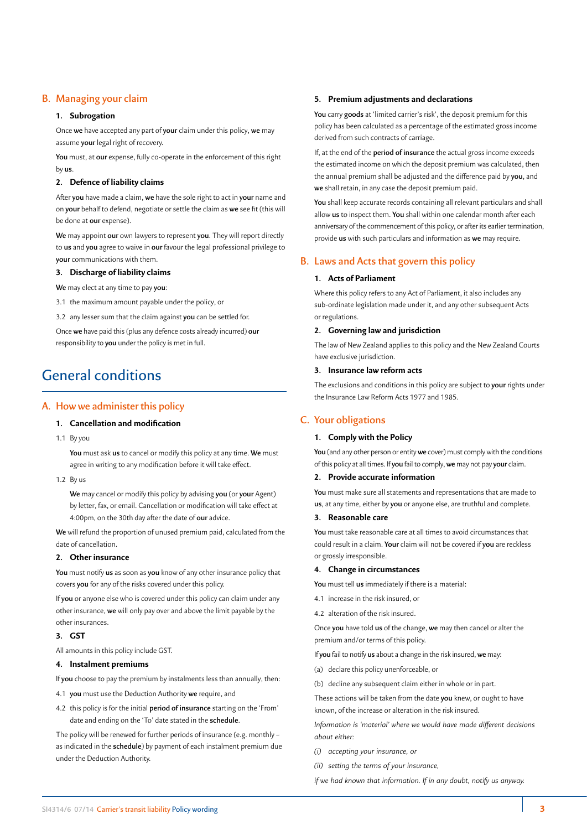#### **B. Managing your claim**

#### **1. Subrogation**

Once **we** have accepted any part of **your** claim under this policy, **we** may assume **your** legal right of recovery.

**You** must, at **our** expense, fully co-operate in the enforcement of this right by **us**.

#### **2. Defence of liability claims**

After **you** have made a claim, **we** have the sole right to act in **your** name and on **your** behalf to defend, negotiate or settle the claim as **we** see fit (this will be done at **our** expense).

**We** may appoint **our** own lawyers to represent **you**. They will report directly to **us** and **you** agree to waive in **our** favour the legal professional privilege to **your** communications with them.

#### **3. Discharge of liability claims**

**We** may elect at any time to pay **you**:

3.1 the maximum amount payable under the policy, or

3.2 any lesser sum that the claim against **you** can be settled for.

Once **we** have paid this (plus any defence costs already incurred) **our** responsibility to **you** under the policy is met in full.

### General conditions

#### **A. How we administer this policy**

#### **1. Cancellation and modification**

1.1 By you

**You** must ask **us** to cancel or modify this policy at any time. **We** must agree in writing to any modification before it will take effect.

1.2 By us

**We** may cancel or modify this policy by advising **you** (or **your** Agent) by letter, fax, or email. Cancellation or modification will take effect at 4:00pm, on the 30th day after the date of **our** advice.

**We** will refund the proportion of unused premium paid, calculated from the date of cancellation.

#### **2. Other insurance**

**You** must notify **us** as soon as **you** know of any other insurance policy that covers **you** for any of the risks covered under this policy.

If **you** or anyone else who is covered under this policy can claim under any other insurance, **we** will only pay over and above the limit payable by the other insurances.

#### **3. GST**

All amounts in this policy include GST.

#### **4. Instalment premiums**

If **you** choose to pay the premium by instalments less than annually, then:

4.1 **you** must use the Deduction Authority **we** require, and

4.2 this policy is for the initial **period of insurance** starting on the 'From' date and ending on the 'To' date stated in the **schedule**.

The policy will be renewed for further periods of insurance (e.g. monthly – as indicated in the **schedule**) by payment of each instalment premium due under the Deduction Authority.

#### **5. Premium adjustments and declarations**

**You** carry **goods** at 'limited carrier's risk', the deposit premium for this policy has been calculated as a percentage of the estimated gross income derived from such contracts of carriage.

If, at the end of the **period of insurance** the actual gross income exceeds the estimated income on which the deposit premium was calculated, then the annual premium shall be adjusted and the difference paid by **you**, and **we** shall retain, in any case the deposit premium paid.

**You** shall keep accurate records containing all relevant particulars and shall allow **us** to inspect them. **You** shall within one calendar month after each anniversary of the commencement of this policy, or after its earlier termination, provide **us** with such particulars and information as **we** may require.

#### **B. Laws and Acts that govern this policy**

#### **1. Acts of Parliament**

Where this policy refers to any Act of Parliament, it also includes any sub-ordinate legislation made under it, and any other subsequent Acts or regulations.

#### **2. Governing law and jurisdiction**

The law of New Zealand applies to this policy and the New Zealand Courts have exclusive jurisdiction.

#### **3. Insurance law reform acts**

The exclusions and conditions in this policy are subject to **your** rights under the Insurance Law Reform Acts 1977 and 1985.

#### **C. Your obligations**

#### **1. Comply with the Policy**

**You** (and any other person or entity **we** cover) must comply with the conditions of this policy at all times. If **you** fail to comply, **we** may not pay **your** claim.

#### **2. Provide accurate information**

**You** must make sure all statements and representations that are made to **us**, at any time, either by **you** or anyone else, are truthful and complete.

#### **3. Reasonable care**

**You** must take reasonable care at all times to avoid circumstances that could result in a claim. **Your** claim will not be covered if **you** are reckless or grossly irresponsible.

#### **4. Change in circumstances**

**You** must tell **us** immediately if there is a material:

- 4.1 increase in the risk insured, or
- 4.2 alteration of the risk insured.

Once **you** have told **us** of the change, **we** may then cancel or alter the premium and/or terms of this policy.

- If **you** fail to notify **us** about a change in the risk insured, **we** may:
- (a) declare this policy unenforceable, or
- (b) decline any subsequent claim either in whole or in part.

These actions will be taken from the date **you** knew, or ought to have known, of the increase or alteration in the risk insured.

*Information is 'material' where we would have made different decisions about either:*

- *(i) accepting your insurance, or*
- *(ii) setting the terms of your insurance,*

*if we had known that information. If in any doubt, notify us anyway.*